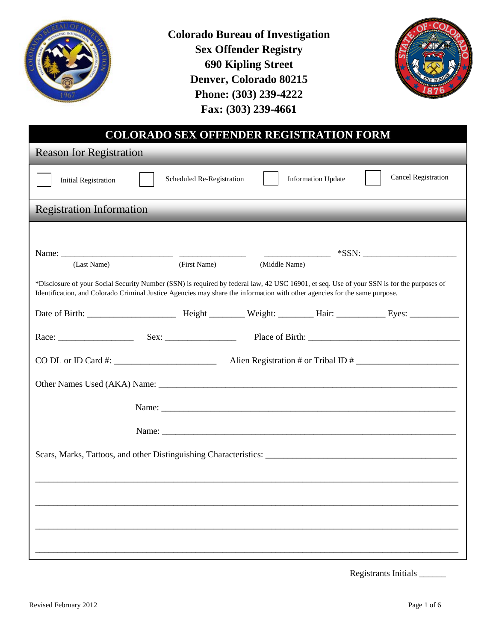

**Colorado Bureau of Investigation Sex Offender Registry 690 Kipling Street Denver, Colorado 80215 Phone: (303) 239-4222 Fax: (303) 239-4661**



| <b>COLORADO SEX OFFENDER REGISTRATION FORM</b>                                                                                                                                                                                                                          |                           |               |                           |                                             |
|-------------------------------------------------------------------------------------------------------------------------------------------------------------------------------------------------------------------------------------------------------------------------|---------------------------|---------------|---------------------------|---------------------------------------------|
| <b>Reason for Registration</b>                                                                                                                                                                                                                                          |                           |               |                           |                                             |
| <b>Initial Registration</b>                                                                                                                                                                                                                                             | Scheduled Re-Registration |               | <b>Information Update</b> | <b>Cancel Registration</b>                  |
| <b>Registration Information</b>                                                                                                                                                                                                                                         |                           |               |                           |                                             |
|                                                                                                                                                                                                                                                                         |                           |               |                           |                                             |
|                                                                                                                                                                                                                                                                         |                           |               |                           | $\begin{array}{c}\n\text{---}\n\end{array}$ |
| (Last Name)                                                                                                                                                                                                                                                             | (First Name)              | (Middle Name) |                           |                                             |
| *Disclosure of your Social Security Number (SSN) is required by federal law, 42 USC 16901, et seq. Use of your SSN is for the purposes of<br>Identification, and Colorado Criminal Justice Agencies may share the information with other agencies for the same purpose. |                           |               |                           |                                             |
|                                                                                                                                                                                                                                                                         |                           |               |                           |                                             |
|                                                                                                                                                                                                                                                                         |                           |               |                           |                                             |
| $\overline{CO}$ DL or ID Card #: $\overline{C}$                                                                                                                                                                                                                         |                           |               |                           | Alien Registration # or Tribal ID #         |
|                                                                                                                                                                                                                                                                         |                           |               |                           |                                             |
|                                                                                                                                                                                                                                                                         |                           |               |                           |                                             |
|                                                                                                                                                                                                                                                                         |                           |               |                           |                                             |
|                                                                                                                                                                                                                                                                         |                           |               |                           |                                             |
|                                                                                                                                                                                                                                                                         |                           |               |                           |                                             |
|                                                                                                                                                                                                                                                                         |                           |               |                           |                                             |
|                                                                                                                                                                                                                                                                         |                           |               |                           |                                             |
|                                                                                                                                                                                                                                                                         |                           |               |                           |                                             |
|                                                                                                                                                                                                                                                                         |                           |               |                           |                                             |
|                                                                                                                                                                                                                                                                         |                           |               |                           |                                             |

Registrants Initials \_\_\_\_\_\_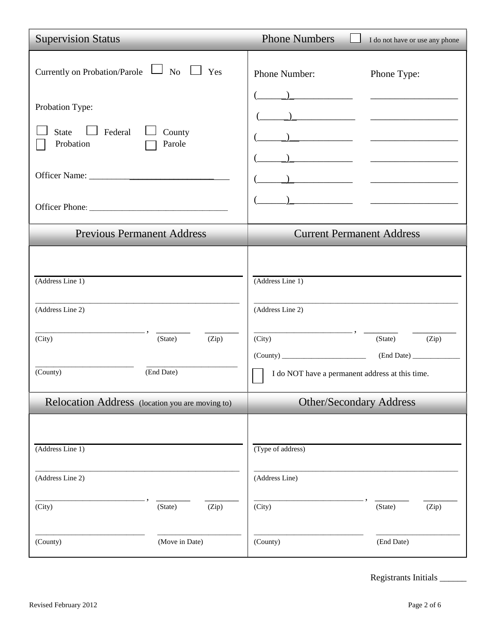| <b>Supervision Status</b>                                                                                                         | <b>Phone Numbers</b><br>I do not have or use any phone                                                                                         |
|-----------------------------------------------------------------------------------------------------------------------------------|------------------------------------------------------------------------------------------------------------------------------------------------|
| Currently on Probation/Parole $\Box$ No $\Box$ Yes<br>Probation Type:<br>Federal<br><b>State</b><br>County<br>Probation<br>Parole | Phone Number:<br>Phone Type:                                                                                                                   |
| <b>Previous Permanent Address</b>                                                                                                 | <b>Current Permanent Address</b>                                                                                                               |
| (Address Line 1)<br>(Address Line 2)<br>(Zip)<br>(City)<br>(State)<br>(County)<br>(End Date)                                      | (Address Line 1)<br>(Address Line 2)<br>(City)<br>(State)<br>(Zip)<br>$(County)$ (End Date)<br>I do NOT have a permanent address at this time. |
| Relocation Address (location you are moving to)                                                                                   | <b>Other/Secondary Address</b>                                                                                                                 |
| (Address Line 1)<br>(Address Line 2)<br>(City)<br>(Zip)<br>(State)                                                                | (Type of address)<br>(Address Line)<br>(City)<br>(State)<br>(Zip)                                                                              |
| (Move in Date)<br>(County)                                                                                                        | (County)<br>(End Date)                                                                                                                         |

Registrants Initials \_\_\_\_\_\_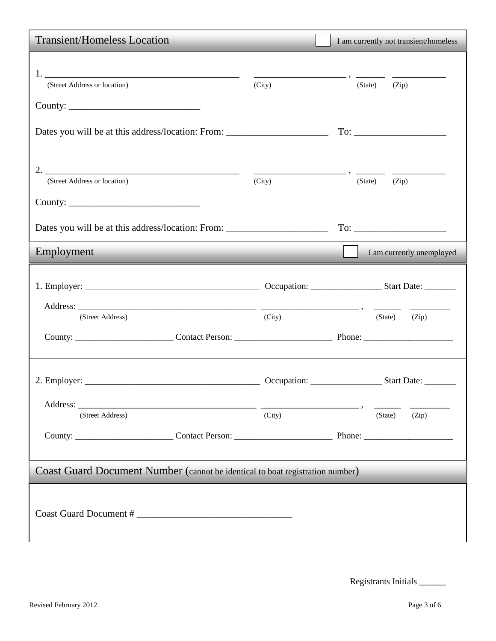| <b>Transient/Homeless Location</b>                                                |        | I am currently not transient/homeless                                                                                                                                                                                          |  |  |
|-----------------------------------------------------------------------------------|--------|--------------------------------------------------------------------------------------------------------------------------------------------------------------------------------------------------------------------------------|--|--|
| 1.<br>(Street Address or location)                                                | (City) | (State)<br>(Zip)                                                                                                                                                                                                               |  |  |
| Dates you will be at this address/location: From: _______________________________ |        |                                                                                                                                                                                                                                |  |  |
| (Street Address or location)                                                      | (City) | (State)<br>(Zip)                                                                                                                                                                                                               |  |  |
| Dates you will be at this address/location: From: _______________________________ |        | To: The contract of the contract of the contract of the contract of the contract of the contract of the contract of the contract of the contract of the contract of the contract of the contract of the contract of the contra |  |  |
| Employment                                                                        |        | I am currently unemployed                                                                                                                                                                                                      |  |  |
|                                                                                   |        |                                                                                                                                                                                                                                |  |  |
| (Street Address)                                                                  | (City) | $(State)$ $(Zip)$                                                                                                                                                                                                              |  |  |
|                                                                                   |        |                                                                                                                                                                                                                                |  |  |
| (Street Address)<br>County: Contact Person: Phone: Phone:                         | (City) | (Zip)<br>(State)                                                                                                                                                                                                               |  |  |
| Coast Guard Document Number (cannot be identical to boat registration number)     |        |                                                                                                                                                                                                                                |  |  |
|                                                                                   |        |                                                                                                                                                                                                                                |  |  |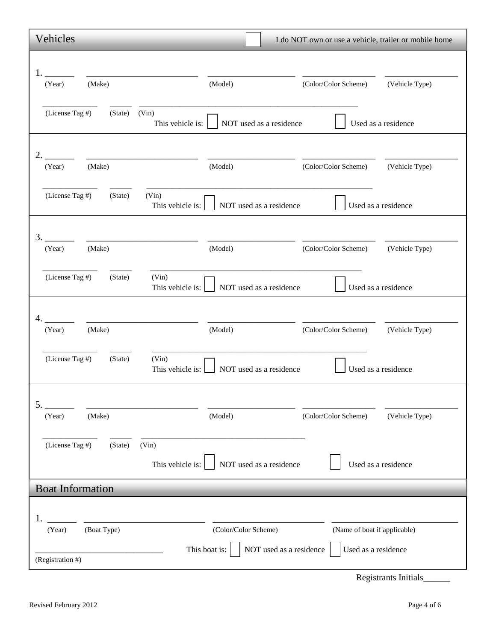| Vehicles                                                                   |                                                                  | I do NOT own or use a vehicle, trailer or mobile home |                     |
|----------------------------------------------------------------------------|------------------------------------------------------------------|-------------------------------------------------------|---------------------|
|                                                                            |                                                                  |                                                       |                     |
| (Make)<br>(Year)                                                           | (Model)                                                          | (Color/Color Scheme) (Vehicle Type)                   |                     |
| (License Tag #)<br>(State) (Vin)<br>This vehicle is:                       | NOT used as a residence                                          |                                                       | Used as a residence |
| 2.<br>(Make)<br>(Year)                                                     | (Model)                                                          | (Color/Color Scheme)                                  | (Vehicle Type)      |
| (License Tag #)<br>(State)<br>(Vin)<br>This vehicle is:                    | NOT used as a residence                                          |                                                       | Used as a residence |
| 3.<br>(Make)<br>(Year)                                                     | (Model)                                                          | (Color/Color Scheme) (Vehicle Type)                   |                     |
| (License Tag #)<br>(State)<br>(Vin)<br>This vehicle is:                    | NOT used as a residence                                          |                                                       | Used as a residence |
| <u> 1999 - Jan James James Barbara, politik eta politikaria (h. 1905).</u> |                                                                  |                                                       |                     |
| (Year)<br>(Make)                                                           | (Model)                                                          | (Color/Color Scheme)                                  | (Vehicle Type)      |
| (License Tag #)<br>(State)<br>(Vin)<br>This vehicle is:                    | NOT used as a residence                                          |                                                       | Used as a residence |
| 5.<br>(Make)<br>(Year)                                                     | (Model)                                                          | (Color/Color Scheme)                                  | (Vehicle Type)      |
| (License Tag #)<br>(State)<br>(Vin)<br>This vehicle is:                    | NOT used as a residence                                          |                                                       | Used as a residence |
| <b>Boat Information</b>                                                    |                                                                  |                                                       |                     |
| (Boat Type)<br>(Year)                                                      | (Color/Color Scheme)<br>This boat is:<br>NOT used as a residence | (Name of boat if applicable)<br>Used as a residence   |                     |
| (Registration #)                                                           |                                                                  |                                                       |                     |

Registrants Initials\_\_\_\_\_\_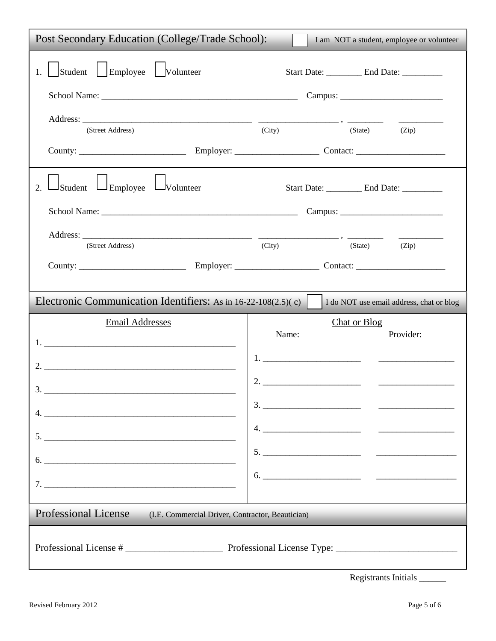| Post Secondary Education (College/Trade School):<br>I am NOT a student, employee or volunteer |                                                                                                                                                                                                                                                                                                                                                                                                                                                                        |  |  |  |
|-----------------------------------------------------------------------------------------------|------------------------------------------------------------------------------------------------------------------------------------------------------------------------------------------------------------------------------------------------------------------------------------------------------------------------------------------------------------------------------------------------------------------------------------------------------------------------|--|--|--|
| Student Employee Volunteer                                                                    | Start Date: ___________ End Date: _________                                                                                                                                                                                                                                                                                                                                                                                                                            |  |  |  |
|                                                                                               |                                                                                                                                                                                                                                                                                                                                                                                                                                                                        |  |  |  |
| (Street Address)                                                                              | (City)<br>(State)<br>(Zip)                                                                                                                                                                                                                                                                                                                                                                                                                                             |  |  |  |
|                                                                                               |                                                                                                                                                                                                                                                                                                                                                                                                                                                                        |  |  |  |
| $\Box$ Student $\Box$ Employee $\Box$ Volunteer<br>2.                                         | Start Date: _________ End Date: ________                                                                                                                                                                                                                                                                                                                                                                                                                               |  |  |  |
|                                                                                               |                                                                                                                                                                                                                                                                                                                                                                                                                                                                        |  |  |  |
| (Street Address)                                                                              | (City)<br>(State)<br>(Zip)                                                                                                                                                                                                                                                                                                                                                                                                                                             |  |  |  |
|                                                                                               |                                                                                                                                                                                                                                                                                                                                                                                                                                                                        |  |  |  |
| Electronic Communication Identifiers: As in 16-22-108(2.5)(c)                                 | I do NOT use email address, chat or blog                                                                                                                                                                                                                                                                                                                                                                                                                               |  |  |  |
| <b>Email Addresses</b>                                                                        | <b>Chat or Blog</b>                                                                                                                                                                                                                                                                                                                                                                                                                                                    |  |  |  |
|                                                                                               | Name:<br>Provider:                                                                                                                                                                                                                                                                                                                                                                                                                                                     |  |  |  |
|                                                                                               |                                                                                                                                                                                                                                                                                                                                                                                                                                                                        |  |  |  |
|                                                                                               |                                                                                                                                                                                                                                                                                                                                                                                                                                                                        |  |  |  |
|                                                                                               | $\begin{tabular}{c} 3. \hline \rule{0.3cm}{0.1cm} \rule{0.3cm}{0.1cm} \end{tabular}$                                                                                                                                                                                                                                                                                                                                                                                   |  |  |  |
|                                                                                               |                                                                                                                                                                                                                                                                                                                                                                                                                                                                        |  |  |  |
|                                                                                               | $5.$ $\overline{\phantom{a}}$ $\overline{\phantom{a}}$ $\overline{\phantom{a}}$ $\overline{\phantom{a}}$ $\overline{\phantom{a}}$ $\overline{\phantom{a}}$ $\overline{\phantom{a}}$ $\overline{\phantom{a}}$ $\overline{\phantom{a}}$ $\overline{\phantom{a}}$ $\overline{\phantom{a}}$ $\overline{\phantom{a}}$ $\overline{\phantom{a}}$ $\overline{\phantom{a}}$ $\overline{\phantom{a}}$ $\overline{\phantom{a}}$ $\overline{\phantom{a}}$ $\overline{\phantom{a}}$ |  |  |  |
|                                                                                               | $\begin{tabular}{c} 6. & \hspace{1.5cm} \textcolor{red}{\textbf{5.}} \end{tabular}$                                                                                                                                                                                                                                                                                                                                                                                    |  |  |  |
| Professional License (I.E. Commercial Driver, Contractor, Beautician)                         |                                                                                                                                                                                                                                                                                                                                                                                                                                                                        |  |  |  |
|                                                                                               |                                                                                                                                                                                                                                                                                                                                                                                                                                                                        |  |  |  |

| <b>Registrants Initials</b> |  |  |
|-----------------------------|--|--|
|-----------------------------|--|--|